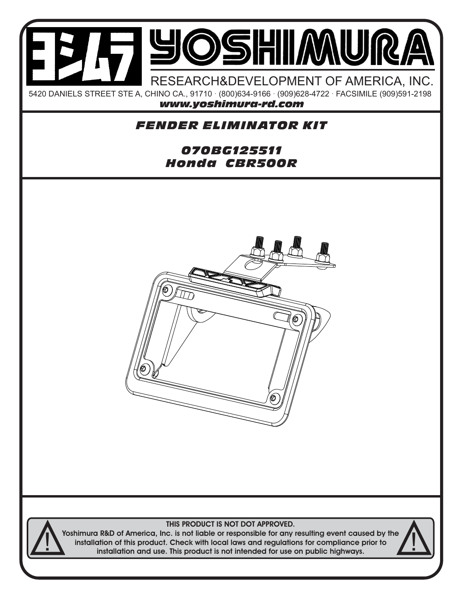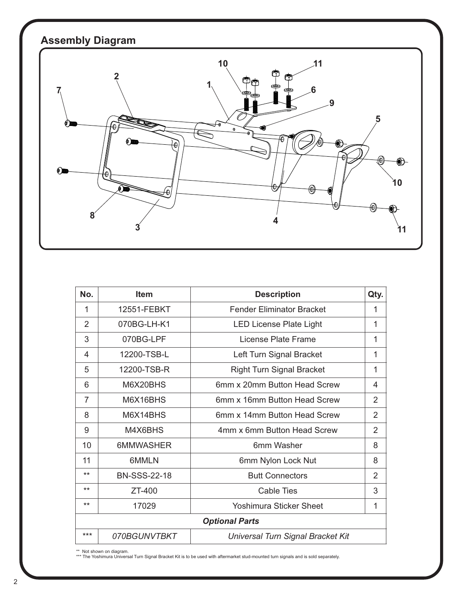

| No.                   | <b>Item</b>         | <b>Description</b>                | Qty.           |
|-----------------------|---------------------|-----------------------------------|----------------|
| 1                     | 12551-FEBKT         | <b>Fender Eliminator Bracket</b>  | 1              |
| $\overline{2}$        | 070BG-LH-K1         | <b>LED License Plate Light</b>    | 1              |
| 3                     | 070BG-LPF           | License Plate Frame               | 1              |
| 4                     | 12200-TSB-L         | Left Turn Signal Bracket          | 1              |
| 5                     | 12200-TSB-R         | <b>Right Turn Signal Bracket</b>  | 1              |
| 6                     | M6X20BHS            | 6mm x 20mm Button Head Screw      | 4              |
| $\overline{7}$        | M6X16BHS            | 6mm x 16mm Button Head Screw      | $\overline{2}$ |
| 8                     | M6X14BHS            | 6mm x 14mm Button Head Screw      | $\overline{2}$ |
| 9                     | M4X6BHS             | 4mm x 6mm Button Head Screw       | $\overline{2}$ |
| 10                    | 6MMWASHER           | 6mm Washer                        | 8              |
| 11                    | 6MMLN               | 6mm Nylon Lock Nut                | 8              |
| $***$                 | <b>BN-SSS-22-18</b> | <b>Butt Connectors</b>            | $\overline{2}$ |
| $***$                 | $ZT-400$            | <b>Cable Ties</b>                 | 3              |
| $***$                 | 17029               | <b>Yoshimura Sticker Sheet</b>    | 1              |
| <b>Optional Parts</b> |                     |                                   |                |
| $***$                 | 070BGUNVTBKT        | Universal Turn Signal Bracket Kit |                |

\*\* Not shown on diagram. \*\*\* The Yoshimura Universal Turn Signal Bracket Kit is to be used with aftermarket stud-mounted turn signals and is sold separately.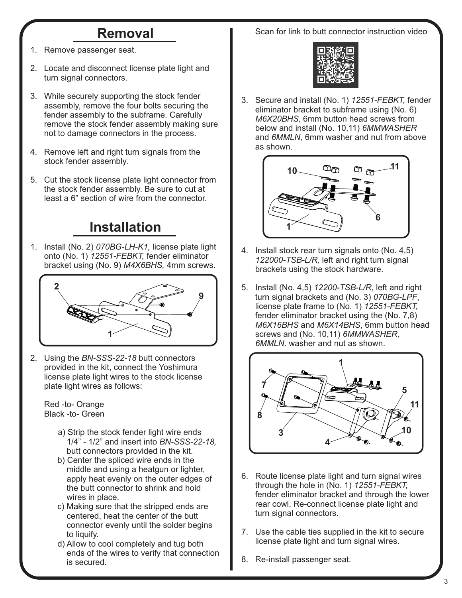## **Removal**

- 1. Remove passenger seat.
- 2. Locate and disconnect license plate light and turn signal connectors.
- 3. While securely supporting the stock fender assembly, remove the four bolts securing the fender assembly to the subframe. Carefully remove the stock fender assembly making sure not to damage connectors in the process.
- 4. Remove left and right turn signals from the stock fender assembly.
- 5. Cut the stock license plate light connector from the stock fender assembly. Be sure to cut at least a 6" section of wire from the connector.

## **Installation**

1. Install (No. 2) *070BG-LH-K1,* license plate light onto (No. 1) *12551-FEBKT,* fender eliminator bracket using (No. 9) *M4X6BHS,* 4mm screws.



2. Using the *BN-SSS-22-18* butt connectors provided in the kit, connect the Yoshimura license plate light wires to the stock license plate light wires as follows:

 Red -to- Orange Black -to- Green

- a) Strip the stock fender light wire ends 1/4" - 1/2" and insert into *BN-SSS-22-18,* butt connectors provided in the kit.
- b) Center the spliced wire ends in the middle and using a heatgun or lighter, apply heat evenly on the outer edges of the butt connector to shrink and hold wires in place.
- c) Making sure that the stripped ends are centered, heat the center of the butt connector evenly until the solder begins to liquify.
- d) Allow to cool completely and tug both ends of the wires to verify that connection is secured.

Scan for link to butt connector instruction video



3. Secure and install (No. 1) *12551-FEBKT,* fender eliminator bracket to subframe using (No. 6)  *M6X20BHS,* 6mm button head screws from below and install (No. 10,11) *6MMWASHER* and *6MMLN,* 6mm washer and nut from above as shown.



- 4. Install stock rear turn signals onto (No. 4,5) *122000-TSB-L/R,* left and right turn signal brackets using the stock hardware.
- 5. Install (No. 4,5) *12200-TSB-L/R,* left and right turn signal brackets and (No. 3) *070BG-LPF*, license plate frame to (No. 1) *12551-FEBKT,*  fender eliminator bracket using the (No. 7,8) *M6X16BHS* and *M6X14BHS*, 6mm button head screws and (No. 10,11) *6MMWASHER, 6MMLN,* washer and nut as shown.



- 6. Route license plate light and turn signal wires through the hole in (No. 1) *12551-FEBKT,* fender eliminator bracket and through the lower rear cowl. Re-connect license plate light and turn signal connectors.
- 7. Use the cable ties supplied in the kit to secure license plate light and turn signal wires.
- 8. Re-install passenger seat.